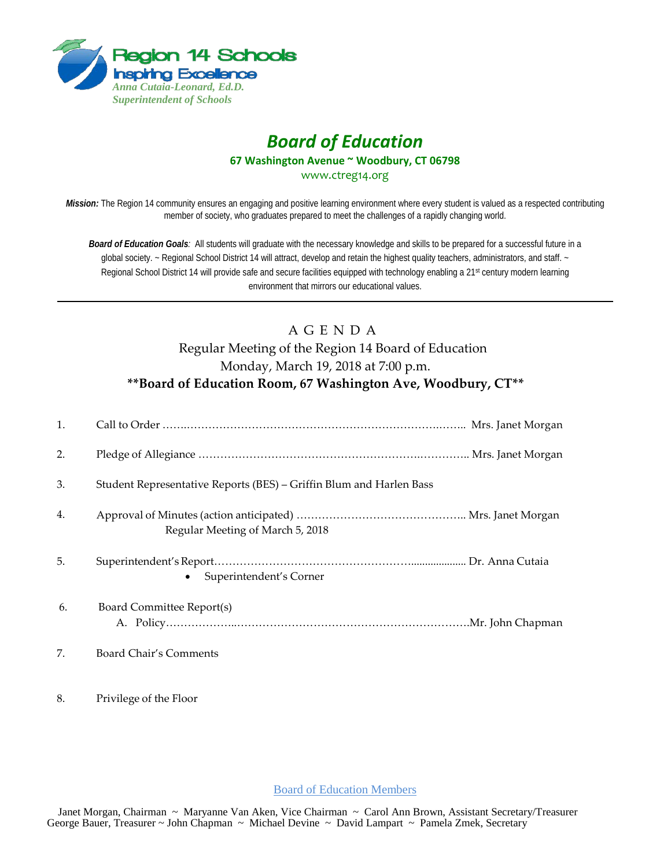

## *Board of Education* **67 Washington Avenue ~ Woodbury, CT 06798**

www.ctreg14.org

*Mission:* The Region 14 community ensures an engaging and positive learning environment where every student is valued as a respected contributing member of society, who graduates prepared to meet the challenges of a rapidly changing world.

*Board of Education Goals:* All students will graduate with the necessary knowledge and skills to be prepared for a successful future in a global society. ~ Regional School District 14 will attract, develop and retain the highest quality teachers, administrators, and staff. ~ Regional School District 14 will provide safe and secure facilities equipped with technology enabling a 21<sup>st</sup> century modern learning environment that mirrors our educational values.

## A G E N D A Regular Meeting of the Region 14 Board of Education Monday, March 19, 2018 at 7:00 p.m. **\*\*Board of Education Room, 67 Washington Ave, Woodbury, CT\*\***

| 1. |                                                                     |
|----|---------------------------------------------------------------------|
| 2. |                                                                     |
| 3. | Student Representative Reports (BES) – Griffin Blum and Harlen Bass |
| 4. | Regular Meeting of March 5, 2018                                    |
| 5. | Superintendent's Corner                                             |
| 6. | Board Committee Report(s)                                           |
| 7. | <b>Board Chair's Comments</b>                                       |

8. Privilege of the Floor

Board of Education Members